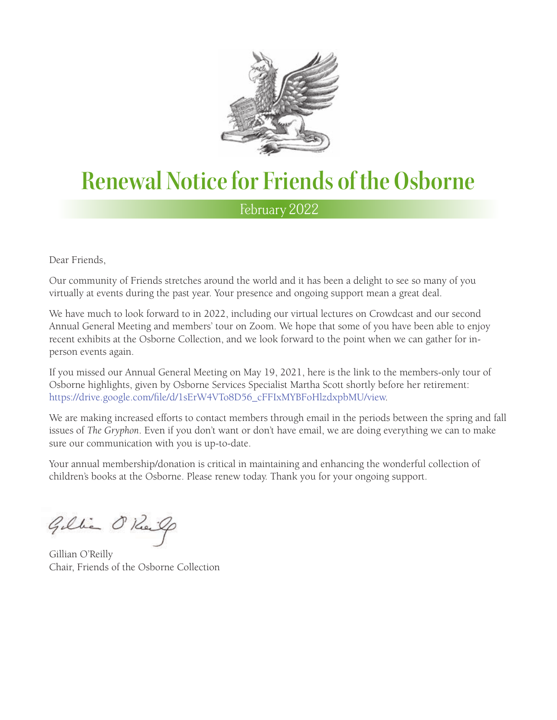

## **Renewal Notice for Friends of the Osborne**

February 2022

Dear Friends,

Our community of Friends stretches around the world and it has been a delight to see so many of you virtually at events during the past year. Your presence and ongoing support mean a great deal.

We have much to look forward to in 2022, including our virtual lectures on Crowdcast and our second Annual General Meeting and members' tour on Zoom. We hope that some of you have been able to enjoy recent exhibits at the Osborne Collection, and we look forward to the point when we can gather for inperson events again.

If you missed our Annual General Meeting on May 19, 2021, here is the link to the members-only tour of Osborne highlights, given by Osborne Services Specialist Martha Scott shortly before her retirement: [https://drive.google.com/file/d/1sErW4VTo8D56\\_cFFIxMYBFoHlzdxpbMU/view.](https://drive.google.com/file/d/1sErW4VTo8D56_cFFIxMYBFoHlzdxpbMU/view)

We are making increased efforts to contact members through email in the periods between the spring and fall issues of *The Gryphon*. Even if you don't want or don't have email, we are doing everything we can to make sure our communication with you is up-to-date.

Your annual membership/donation is critical in maintaining and enhancing the wonderful collection of children's books at the Osborne. Please renew today. Thank you for your ongoing support.

Gillia O'Reil

Gillian O'Reilly Chair, Friends of the Osborne Collection